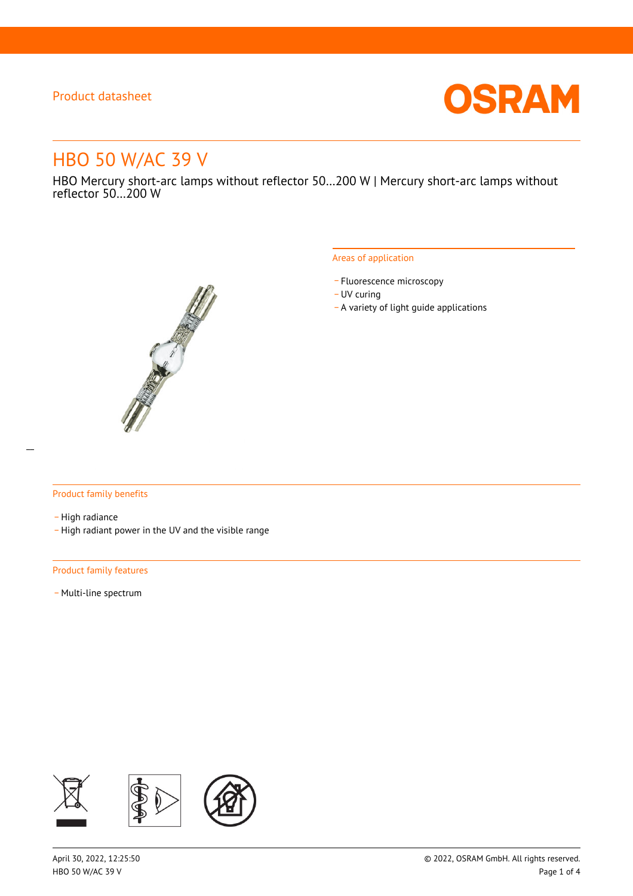

# HBO 50 W/AC 39 V

HBO Mercury short-arc lamps without reflector 50…200 W | Mercury short-arc lamps without reflector 50…200 W



#### Areas of application

- Fluorescence microscopy
- UV curing
- \_ A variety of light guide applications

#### Product family benefits

- High radiance
- \_ High radiant power in the UV and the visible range

#### Product family features

- Multi-line spectrum

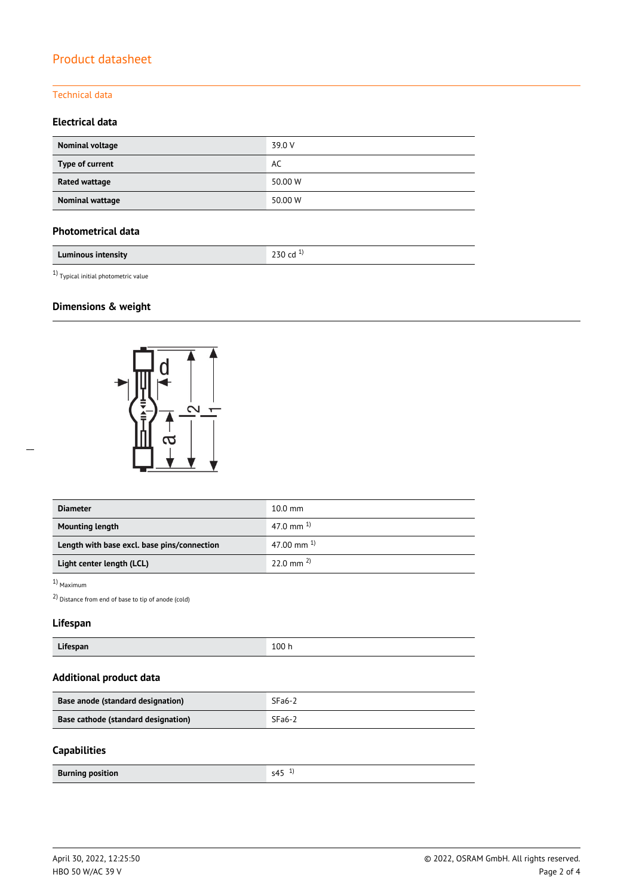#### Technical data

### **Electrical data**

| Nominal voltage      | 39.0 V  |
|----------------------|---------|
| Type of current      | AC      |
| <b>Rated wattage</b> | 50.00 W |
| Nominal wattage      | 50.00 W |

### **Photometrical data**

| Luminous intensity | י<br>ີ |
|--------------------|--------|
|                    |        |

 $^{1)}$  Typical initial photometric value

### **Dimensions & weight**



| <b>Diameter</b>                             | $10.0$ mm             |  |
|---------------------------------------------|-----------------------|--|
| <b>Mounting length</b>                      | 47.0 mm $^{1}$        |  |
| Length with base excl. base pins/connection | 47.00 mm $^{1}$       |  |
| Light center length (LCL)                   | $22.0 \text{ mm}^{2}$ |  |

1) Maximum

2) Distance from end of base to tip of anode (cold)

### **Lifespan**

| $-1$<br>Lifespan | 100h |
|------------------|------|
|------------------|------|

# **Additional product data**

| Base anode (standard designation)   | $SFa6-2$ |
|-------------------------------------|----------|
| Base cathode (standard designation) | $SFa6-2$ |

#### **Capabilities**

 $\overline{a}$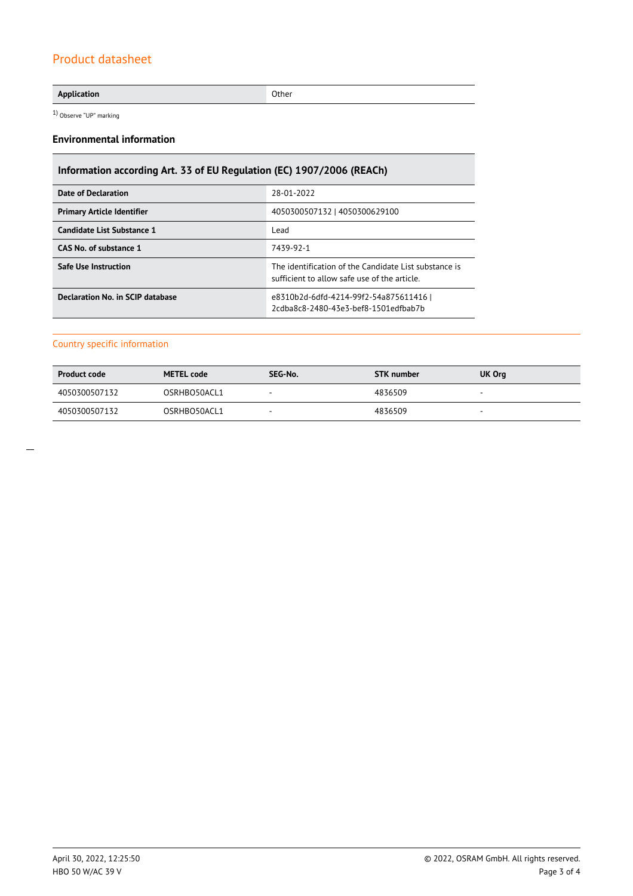#### **Application** Other

1) Observe "UP" marking

#### **Environmental information**

# **Information according Art. 33 of EU Regulation (EC) 1907/2006 (REACh)**

| <b>Date of Declaration</b>              | 28-01-2022                                                                                            |
|-----------------------------------------|-------------------------------------------------------------------------------------------------------|
| <b>Primary Article Identifier</b>       | 4050300507132   4050300629100                                                                         |
| Candidate List Substance 1              | Lead                                                                                                  |
| CAS No. of substance 1                  | 7439-92-1                                                                                             |
| <b>Safe Use Instruction</b>             | The identification of the Candidate List substance is<br>sufficient to allow safe use of the article. |
| <b>Declaration No. in SCIP database</b> | e8310b2d-6dfd-4214-99f2-54a875611416  <br>2cdba8c8-2480-43e3-bef8-1501edfbab7b                        |

#### Country specific information

| <b>Product code</b> | <b>METEL code</b> | SEG-No. | <b>STK</b> number | UK Org |
|---------------------|-------------------|---------|-------------------|--------|
| 4050300507132       | OSRHBO50ACL1      |         | 4836509           |        |
| 4050300507132       | OSRHBO50ACL1      | -       | 4836509           |        |